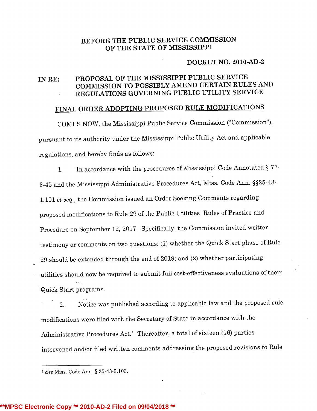# BEFORE THE PUBLIC SERVICE COMMISSION OF THE STATE OF MISSISSIPPI

#### DOCKET NO. 2010-AD-2

# IN RE: PROPOSAL OF THE MISSISSIPPI PUBLIC SERVICE COMMISSION TO POSSIBLY AMEND CERTAIN RULES AND REGULATIONS GOVERNING PUBLIC UTILITY SERVICE

# FINAL ORDER ADOPTING PROPOSED RULE MODIFICATIONS

COMES NOW, the Mississippi Public Service Commission ("Commission"), pursuant to its authority under the Mississippi Public Utility Act and applicable regulations, and hereby finds as follows:

1. In accordance with the procedures of Mississippi Code Annotated § 77- 3-45 and the Mississippi Administrative Procedures Act, Miss. Code Ann. §§25-43- 1.101 et seq., the Commission issued an Order Seeking Comments regarding proposed modifications to Rule <sup>29</sup> of the Public Utilities Rules of Practice and Procedure on September 12, 2017. Specifically, the Commission invited written testimony or comments on two questions:(1) whether the Quick Start phase of Rule <sup>29</sup> should be extended through the end of 2019; and (2) whether participating utilities should now be required to submit full cost-effectiveness evaluations of their Quick Start programs.

2. Notice was published according to applicablelaw and the proposed rule modifications were filed with the Secretary of State in accordance with the Administrative Procedures Act.1 Thereafter, <sup>a</sup> total of sixteen (16) parties intervened and/or filed written comments addressing the proposed revisions to Rule

1

<sup>1</sup> See Miss. Code Ann. § 25-43-3.103.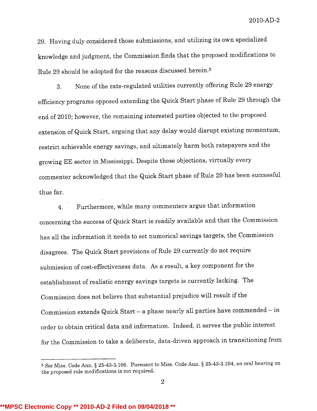2010-AD-2

29. Having duly considered those submissions,and utilizing its own specialized knowledgeand judgment, the Commission finds that the proposed modifications to Rule 29 should be adopted for the reasons discussed herein.<sup>2</sup>

3. None of the rate-regulated utilities currently offering Rule 29 energy efficiency programs opposed extending the Quick Start phase of Rule 29 through the end of 2019; however, the remaining interested parties objected to the proposed extension of Quick Start, arguing that any delay would disrupt existing momentum, restrict achievable energy savings, and ultimately harm both ratepayers and the growing EE sector in Mississippi. Despite these objections, virtually every commenter acknowledged that the Quick Start phase of Rule 29 has been successful thus far.

4. Furthermore, while many commenters argue that information concerning the success of Quick Start is readily available and that the Commission has all the information it needs to set numerical savings targets, the Commission disagrees. The Quick Start provisions of Rule <sup>29</sup> currently do not require submission of cost-effectiveness data. As a result, a key component for the establishment of realistic energy savings targets is currently lacking. The Commission does not believe that substantial prejudice will result if the Commission extends Quick Start – a phase nearly all parties have commended – ir order to obtain critical data and information. Indeed, it serves the public interest for the Commission to take a deliberate, data-driven approach in transitioning from

<sup>2</sup> See Miss. Code Ann. § 25-43-3.106. Pursuant to Miss. Code Ann. § 25-43-3.104, an oral hearing on the proposed rule modifications is not required.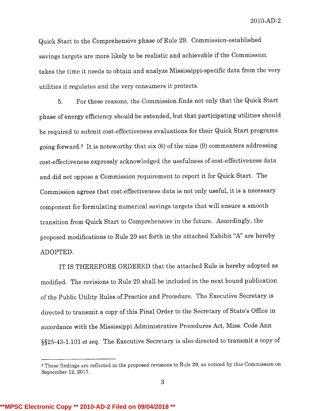2010-AD-2

Quick Start to the Comprehensive phase of Rule 29. Commission-established savings targets are more likely to be realistic and achievable if the Commission takes the time it needs to obtain and analyze Mississippi-specific data from the very utilities it regulates and the very consumers it protects.

5. For these reasons, the Commission finds not only that the Quick Start phase of energy efficiency should be extended, but that participating utilities should be required to submit cost-effectiveness evaluations for their Quick Start programs going forward.<sup>3</sup> It is noteworthy that six  $(6)$  of the nine  $(9)$  commenters addressing cost-effectiveness expressly acknowledged the usefulness of cost-effectiveness data and did not oppose <sup>a</sup> Commission requirement to report it for Quick Start. The Commission agrees that cost-effectiveness data is not only useful, it is <sup>a</sup> necessary component for formulating numerical savings targets that will ensure a smooth transition from Quick Start to Comprehensive in the future. Accordingly, the proposed modifications to Rule 29 set forth in the attached Exhibit "A" are hereby ADOPTED.

IT IS THEREFORE ORDERED that the attached Rule is hereby adopted as modified. The revisions to Rule <sup>29</sup> shall be included in the next bound publication of the Public Utility Rules of Practice and Procedure. The Executive Secretaryis directed to transmit <sup>a</sup> copy of this Final Order to the Secretaryof State's Office in accordance with the Mississippi Administrative Procedures Act, Miss. Code Ann §§25-43-1.101 et seq. The Executive Secretary is also directed to transmit <sup>a</sup> copy of

<sup>&</sup>lt;sup>3</sup> These findings are reflected in the proposed revisions to Rule 29, as noticed by this Commission on September 12, 2017.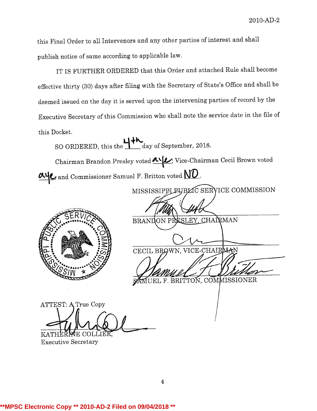this Final Order to all Intervenors and any other parties of interest and shall publish notice of same according to applicablelaw.

IT IS FURTHER ORDERED that this Order and attached Rule shall become effective thirty (30) days after filing with the Secretaryof State's Office and shall be deemed issued on the day it is served upon the intervening parties of record by the Executive Secretary of this Commission who shall note the service date in the file of this Docket.

SO ORDERED, this the  $\mathbf{u}$  day of September, 2018. Chairman Brandon Presley voted  $\alpha$ <sup>t</sup> Vice-Chairman Cecil Brown voted  $\frac{\partial \mathbf{u}}{\partial \mathbf{c}}$  and Commissioner Samuel F. Britton voted  $\mathbf{W}\mathbf{D}$  . MISSISSIPPL PUBLIC SERVICE COMMISSION . BRANDON PRESLEY, CHAIRMAN CECIL BROWN, VICE-CHAIRMAN BRITTON, COMMISSIONER ATTEST: A True Copy KATHER WE COLLIE Executive Secretary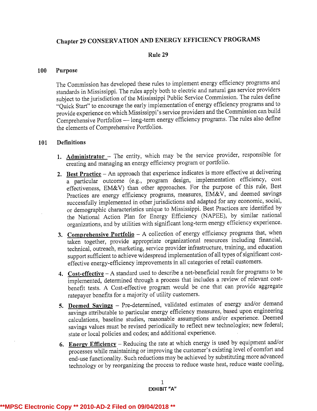# Chapter <sup>29</sup> CONSERVATION AND ENERGY EFFICIENCY PROGRAMS

## Rule 29

#### 100 Purpose

The Commission has developed these rules to implement energy efficiency programs and standards in Mississippi. The rules apply both to electric and natural gas service providers subject to the jurisdiction of the Mississippi Public Service Commission. The rules define "Quick Start" to encourage the early implementation of energy efficiency programs and to provide experience on which Mississippi's service providers and the Commission can build Comprehensive Portfolios - long-term energy efficiency programs. The rules also define the elements of Comprehensive Portfolios.

### 101 Definitions

- 1. Administrator The entity, which may be the service provider, responsible for creating and managing an energy efficiency program or portfolio.
- 2. Best Practice An approach that experience indicates is more effective at delivering <sup>a</sup> particular outcome (e.g., program design, implementation efficiency, cost effectiveness, EM&V) than other approaches. For the purpose of this rule, Best Practices are energy efficiency programs, measures, EM&V, and deemed savings successfully implemented in other jurisdictionsand adapted for any economic, social, or demographic characteristics unique to Mississippi. Best Practices are identified by the National Action Plan for Energy Efficiency (NAPEE), by similar national organizations,and by utilities with significant long-term energy efficiency experience.
- 3. Comprehensive Portfolio  $A$  collection of energy efficiency programs that, when taken together, provide appropriate organizational resources including financial, technical, outreach, marketing, service provider infrastructure, training, and education support sufficient to achieve widespread implementation of all types of significant costeffective energy-efficiency improvements in all categories of retail customers.
- 4. Cost-effective A standard used to describe a net-beneficial result for programs to be implemented, determined through <sup>a</sup> process that includes <sup>a</sup> review of relevant costbenefit tests. A Cost-effective program would be one that can provide aggregate ratepayer benefits for <sup>a</sup> majority of utility customers.
- 5. Deemed Savings Pre-determined, validated estimates of energy and/or demand savings attributable to particular energy efficiency measures, based upon engineering calculations, baseline studies, reasonable assumptions and/or experience. Deemed savings values must be revised periodically to reflect new technologies; new federal; state or local policies and codes; and additional experience.
- 6. Energy Efficiency Reducing the rate at which energy is used by equipment and/or processes while maintaining or improving the customer's existing level of comfort and end-use functionality.Such reductions may be achieved by substituting more advanced technology or by reorganizing the process to reduce waste heat, reduce waste cooling,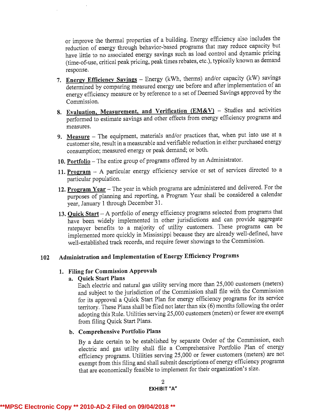or improve the thermal properties of <sup>a</sup> building. Energy efficiency also includes the reduction of energy through behavior-based programs that may reduce capacity but have little to no associated energy savings such as load control and dynamic pricing (time-of-use, critical peak pricing, peak times rebates, etc.), typically known as demand response.

- 7. Energy Efficiency Savings  $-$  Energy (kWh, therms) and/or capacity (kW) savings determined by comparing measured energy use before and after implementation of an energy efficiency measure or by reference to <sup>a</sup> set of Deemed Savings approved by the Commission.
- 8. Evaluation, Measurement, and Verification  $(EM&V)$  Studies and activities performed to estimate savings and other effects from energy efficiency programs and measures.
- 9. Measure  $-$  The equipment, materials and/or practices that, when put into use at a customer site, result in a measurable and verifiable reduction in either purchased energy consumption; measured energy or peak demand; or both.
- 10. Portfolio The entire group of programs offered by an Administrator.
- 11. Program  $-$  A particular energy efficiency service or set of services directed to a particular population.
- 12. Program Year The year in which programs are administered and delivered. For the purposes of planning and reporting, <sup>a</sup> Program Year shall be considered <sup>a</sup> calendar year, January <sup>1</sup> through December 31.
- 13. Quick Start A portfolio of energy efficiency programs selected from programs that have been widely implemented in other jurisdictions and can provide aggregate ratepayer benefits to a majority of utility customers. These programs can be implemented more quickly in Mississippi because they are already well-defined, have well-established track records, and require fewer showings to the Commission.

# <sup>102</sup> Administration and Implementationof Energy Efficiency Programs

# 1. Filing for Commission Approvals

# a. Quick Start Plans

Each electric and natural gas utility serving more than 25,000 customers (meters) and subject to the jurisdiction of the Commission shall file with the Commission for its approval a Quick Start Plan for energy efficiency programs for its service territory. These Plans shall be filed not later than six (6) months following the order adopting this Rule. Utilities serving 25,000 customers (meters) or fewer are exempt from filing Quick Start Plans.

# b. Comprehensive Portfolio Plans

By <sup>a</sup> date certain to be established by separate Order of the Commission, each electric and gas utility shall file <sup>a</sup> Comprehensive Portfolio Plan of energy efficiency programs. Utilities serving 25,000 or fewer customers (meters) are not exempt from this filing and shall submit descriptions of energy efficiency programs that are economically feasible to implement for their organization's size.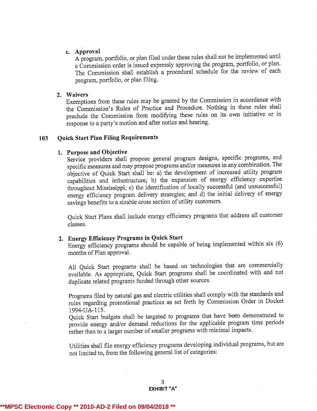# c. Approval

<sup>A</sup> program, portfolio, or plan filed under these rules shall not be implemented until <sup>a</sup> Commission order is issued expressly approving the program, portfolio, or plan. The Commission shall establish <sup>a</sup> procedural schedule for the review of each program, portfolio, or plan filing.

### 2. Waivers

Exemptions from these rules may be granted by the Commission in accordance with the Commission's Rules of Practice and Procedure. Nothing in these rules shall preclude the Commission from modifying these rules on its own initiative or in response to <sup>a</sup> party's motion and after notice and hearing.

### 103 Ouick Start Plan Filing Requirements

## 1. Purpose and Objective

Service providers shall propose general program designs, specific programs, and specific measures and may propose programs and/or measures in any combination. The objective of Quick Start shall be: a) the development of increased utility program capabilities and infrastructure; b) the expansion of energy efficiency expertise throughout Mississippi; c) the identification of locally successful (and unsuccessful) energy efficiency program delivery strategies; and d) the initial delivery of energy savings benefits to <sup>a</sup> sizable cross section of utility customers.

Quick Start Plans shall include energy efficiency programs that address all customer classes.

# 2. Energy Efficiency Programs in Quick Start

Energy efficiency programs should be capable of being implemented within six (6) months of Plan approval.

All Quick Start programs shall be based on technologies that are commercially available. As appropriate, Quick Start programs shall be coordinated with and not duplicate related programs funded through other sources.

Programs filed by natural gas and electric utilities shall comply with the standards and rules regarding promotional practices as set forth by Commission Order in Docket 1994-UA-115.

Quick Start budgets shall be targeted to programs that have been demonstrated to provide energy and/or demand reductions for the applicable program time periods rather than to <sup>a</sup> larger number of smaller programs with minimal impacts.

Utilities shall file energy efficiency programs developing individualprograms, but are not limited to, from the following general list of categories: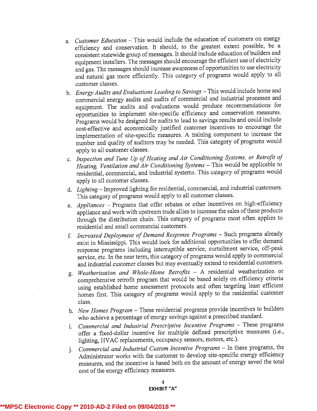- a. Customer Education This would include the education of customers on energy efficiency and conservation. It should, to the greatest extent possible, be <sup>a</sup> consistent statewide group of messages. It should include education of builders and equipment installers. The messages should encourage the efficient use of electricity and gas. The messages should increase awareness of opportunities to use electricity and natural gas more efficiently. This category of programs would apply to all customer classes.
- b. Energy Audits and Evaluations Leading to Savings This would include home and commercial energy audits and audits of commercial and industrial processes and equipment. The audits and evaluations would produce recommendations for opportunities to implement site-specific efficiency and conservation measures. Programs would be designed for audits to lead to savings results and could include cost-effective and economically justified customer incentives to encourage the implementation of site-specific measures. A training component to increase the number and quality of auditors may be needed. This category of programs would apply to all customer classes.
- c. Inspection and Tune Up of Heating and Air Conditioning Systems, or Retrofit of Heating, Ventilation and Air Conditioning Systems - This would be applicable to residential, commercial, and industrial systems. This category of programs would apply to all customer classes.
- d. Lighting- Improved lighting for residential, commercial, and industrial customers. This category of programs would apply to all customer classes.
- e. Appliances  $-$  Programs that offer rebates or other incentives on high-efficiency appliance and work with upstream trade allies to increase the sales of these products through the distribution chain. This category of programs most often applies to residential and small commercial customers.
- f. Increased Deployment of Demand Response Programs Such programs already exist in Mississippi. This would look for additional opportunities to offer demand response programs including interruptible service, curtailment service, off-peak service, etc. In the near term, this category of programs would apply to commercial and industrial customer classes but may eventuallyextend to residential customers.
- g. Weatherization and Whole-Home Retrofits  $-$  A residential weatherization or comprehensive retrofit program that would be based solely on efficiency criteria using established home assessment protocols and often targeting least efficient homes first. This category of programs would apply to the residential customer class.
- h. New Homes Program -- These residential programs provide incentives to builders who achieve <sup>a</sup> percentage of energy savings against <sup>a</sup> prescribed standard.
- i. Commercial and Industrial Prescriptive Incentive Programs These programs offer a fixed-dollar incentive for multiple defined prescriptive measures (i.e., lighting, HVAC replacements, occupancy sensors, motors, etc.).
- j. Commercial and Industrial Custom Incentive Programs In these programs, the Administrator works with the customer to develop site-specific energy efficiency measures, and the incentive is based both on the amount of energy saved the total cost of the energy efficiency measures.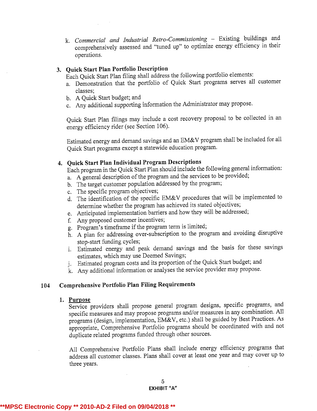# 3. Quick Start Plan Portfolio Description

Each Quick Start Plan filing shall address the following portfolio elements:

- a. Demonstration that the portfolio of Quick Start programs serves all customer classes;
- b. A Quick Start budget; and
- c. Any additional supporting information the Administrator may propose.

Quick Start Plan filings may include <sup>a</sup> cost recovery proposal to be collected in an energy efficiency rider (see Section 106).

Estimated energy and demand savings and an EM&V program shall be included for all Quick Start programs except <sup>a</sup> statewide education program.

# 4. Quick Start Plan Individual Program Descriptions

Each program in the Quick Start Plan should include the followinggeneral information: a. A general description of the program and the services to be provided;

- b. The target customer population addressed by the program;
- c. The specific program objectives;
- d. The identification of the specific EM&V procedures that will be implemented to determine whether the program has achieved its stated objectives;
- e. Anticipated implementation barriers and how they will be addressed;
- f. Any proposed customer incentives;
- g. Program's timeframe if the program term is limited;
- h. A plan for addressing over-subscription to the program and avoiding disruptive stop-start funding cycles;
- i. Estimated energy and peak demand savings and the basis for these savings estimates, which may use Deemed Savings;
- j. Estimated program costs and its proportion of the Quick Start budget; and
- k. Any additional informationor analyses the service provider may propose.

# <sup>104</sup> Comprehensive Portfolio Plan Filing Requirements

#### 1. Purpose

Service providers shall propose general program designs, specific programs, and specific measures and may propose programs and/or measures in any combination. All programs (design, implementation, EM&V, etc.) shall be guided by Best Practices. As appropriate, Comprehensive Portfolio programs should be coordinated with and not duplicate related programs funded through other sources.

All Comprehensive Portfolio Plans shall include energy efficiency programs that address all customer classes. Plans shall cover at least one year and may cover up to three years.

# **\*\*MPSC Electronic Copy \*\* 2010-AD-2 Filed on 09/04/2018 \*\***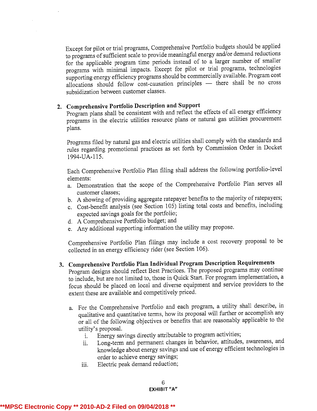Except for pilot or trial programs, Comprehensive Portfolio budgets should be applied to programs of sufficient scale to provide meaningful energy and/or demand reductions for the applicable program time periods instead of to <sup>a</sup> larger number of smaller programs with minimal impacts. Except for pilot or trial programs, technologies supporting energy efficiency programs should be commercially available. Program cost allocations should follow cost-causation principles  $-$  there shall be no cross subsidization between customer classes.

# 2. Comprehensive Portfolio Description and Support

Program plans shall be consistent with and reflect the effects of all energy efficiency programs in the electric utilities resource plans or natural gas utilities procurement plans.

Programs filed by natural gas and electric utilities shall comply with the standards and rules regarding promotional practices as set forth by Commission Order in Docket 1994-UA-115.

Each Comprehensive Portfolio Plan filing shall address the following portfolio-level elements:

- a. Demonstration that the scope of the Comprehensive Portfolio Plan serves all customer classes;
- b. <sup>A</sup> showing of providing aggregate ratepayer benefits to the majority of ratepayers;
- c. Cost-benefit analysis (see Section 105) listing total costs and benefits, including expected savings goals for the portfolio;
- d. A Comprehensive Portfolio budget; and
- e. Any additional supporting information the utility may propose.

Comprehensive Portfolio Plan filings may include <sup>a</sup> cost recovery proposal to be collected in an energy efficiency rider (see Section 106).

- 3. Comprehensive Portfolio Plan Individual Program Description Requirements Program designs should reflect Best Practices. The proposed programs may continue to include, but are not limited to, those in Quick Start. For program implementation, <sup>a</sup> focus should be placed on local and diverse equipment and service providers to the extent these are available and competitively priced.
	- a. For the Comprehensive Portfolio and each program, <sup>a</sup> utility shall describe, in qualitative and quantitative terms, how its proposal will further or accomplish any or all of the following objectives or benefits that are reasonably applicable to the utility's proposal.
		- i. Energy savings directly attributable to program activities;
		- ii. Long-term and permanent changes in behavior, attitudes, awareness, and knowledge about energy savings and use of energy efficient technologies in order to achieve energy savings;
		- iii. Electric peak demand reduction;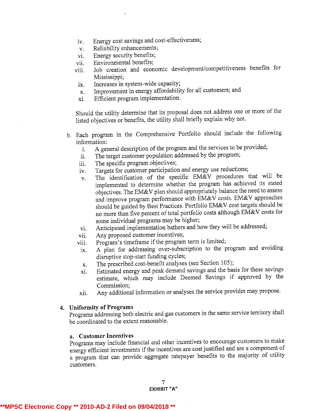- iv. Energy cost savings and cost-effectiveness;
- v. Reliability enhancements;
- vi. Energy security benefits;
- vii. Environmental benefits;
- viii. Job creation and economic development/competitiveness benefits for Mississippi;
	- ix. Increases in system-wide capacity;
	- x. Improvement in energy affordability for all customers; and
	- xi. Efficient program implementation.

Should the utility determine that its proposal does not address one or more of the listed objectives or benefits, the utility shall briefly explain why not.

- b. Each program in the Comprehensive Portfolio should include the following information:
	- i. A general description of the program and the services to be provided;
	- ii. The target customer population addressed by the program;
	- iii. The specific program objectives;
	- iv. Targets for customer participation and energy use reductions;
	- v. The identification of the specific EM&V procedures that will be implemented to determine whether the program has achieved its stated objectives. The EM&V plan should appropriately balance the need to assess and improve program performance with EM&V costs. EM&V approaches should be guided by Best Practices. Portfolio EM&V cost targets should be no more than five percent of total portfolio costs although EM&V costs for some individual programs may be higher;
	- vi. Anticipated implementation bathers and how theywill be addressed;
	- vii. Any proposed customer incentives;
	- viii. Program's timeframe if the program term is limited;
	- ix. A plan for addressing over-subscription to the program and avoiding disruptive stop-start funding cycles;
	- x. The prescribed cost-benefit analyses (see Section 105);
	- xi. Estimated energy and peak demand savings and the basis for these savings estimate, which may include Deemed Savings if approved by the Commission;
	- xii. Any additional informationor analyses the service provider may propose.

### 4. Uniformity of Programs

Programs addressing both electric and gas customers in the same service territory shall be coordinated to the extent reasonable.

#### a. Customer Incentives

Programs may include financial and other incentives to encourage customers to make energy efficient investments if the incentives are cost justifiedand are <sup>a</sup> component of <sup>a</sup> program that can provide aggregate ratepayer benefits to the majority of utility customers.

> 7 EXHIBIT "A"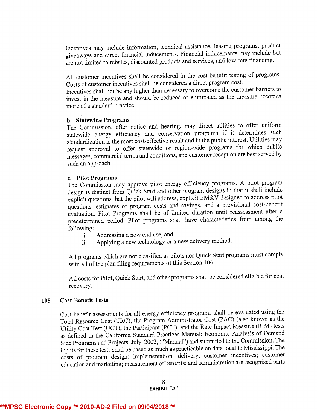Incentives may include information, technical assistance, leasing programs, product giveaways and direct financial inducements. Financial inducements may include but are not limited to rebates, discounted products and services, and low-rate financing.

All customer incentives shall be considered in the cost-benefit testing of programs. Costs of customer incentives shall be considered <sup>a</sup> direct program cost.

Incentives shall not be any higher than necessary to overcome the customer barriers to invest in the measure and should be reduced or eliminated as the measure becomes more of <sup>a</sup> standard practice.

### b. Statewide Programs

The Commission, after notice and hearing, may direct utilities to offer uniform statewide energy efficiency and conservation programs if it determines such standardization is the most cost-effective result and in the public interest. Utilities may request approval to offer statewide or region-wide programs for which public messages, commercial terms and conditions, and customer reception are best served by such an approach.

### c. Pilot Programs

The Commission may approve pilot energy efficiency programs. <sup>A</sup> pilot program design is distinct from Quick Start and other program designs in that it shall include explicit questions that the pilot will address, explicit EM&V designed to address pilot questions, estimates of program costs and savings, and <sup>a</sup> provisional cost-benefit evaluation. Pilot Programs shall be of limited duration until reassessment after <sup>a</sup> predetermined period. Pilot programs shall have characteristics from among the following:

- i. Addressing <sup>a</sup> new end use, and
- ii. Applying <sup>a</sup> new technology or <sup>a</sup> new delivery method.

All programs which are not classified as pilots nor Quick Start programs must comply with all of the plan filing requirements of this Section 104.

All costs for Pilot, Quick Start, and other programs shall be considered eligible for cost recovery.

# 105 Cost-Benefit Tests

Cost-benefit assessments for all energy efficiencyprograms shall be evaluated using the Total Resource Cost (TRC), the Program Administrator Cost (PAC) (also known as the Utility Cost Test (UCT), the Participant (PCT), and the Rate Impact Measure (RIM) tests as defined in the California Standard Practices Manual: Economic Analysis of Demand Side Programs and Projects, July, 2002, ("Manual") and submitted to the Commission. The inputs for these tests shall be based as much as practicable on data local to Mississippi. The costs of program design; implementation; delivery; customer incentives; customer education and marketing; measurement of benefits; and administration are recognizedparts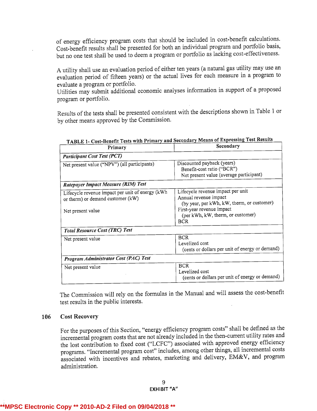of energy efficiency program costs that should be included in cost-benefit calculations. Cost-benefit results shall be presented for both an individual program and portfolio basis, but no one test shall be used to deem <sup>a</sup> program or portfolio as lacking cost-effectiveness.

<sup>A</sup> utility shall use an evaluation period of either ten years (a natural gas utility may use an evaluation period of fifteen years) or the actual lives for each measure in <sup>a</sup> program to evaluate <sup>a</sup> program or portfolio.

Utilities may submit additional economic analyses information in support of a proposed program or portfolio.

Results of the tests shall be presented consistent with the descriptions shown in Table <sup>1</sup> or by other means approved by the Commission.

| Primary                                                                                                    | Secondary                                                                                                                                                                                |  |
|------------------------------------------------------------------------------------------------------------|------------------------------------------------------------------------------------------------------------------------------------------------------------------------------------------|--|
| <b>Participant Cost Test (PCT)</b>                                                                         |                                                                                                                                                                                          |  |
| Net present value ("NPV") (all participants)                                                               | Discounted payback (years)<br>Benefit-cost ratio ("BCR")<br>Net present value (average participant)                                                                                      |  |
| Ratepayer Impact Measure (RIM) Test                                                                        |                                                                                                                                                                                          |  |
| Lifecycle revenue impact per unit of energy (kWh<br>or therm) or demand customer (kW)<br>Net present value | Lifecycle revenue impact per unit<br>Annual revenue impact<br>(by year, per kWh, kW, therm, or customer)<br>First-year revenue impact<br>(per kWh, kW, therm, or customer)<br><b>BCR</b> |  |
| <b>Total Resource Cost (TRC) Test</b>                                                                      |                                                                                                                                                                                          |  |
| Net present value                                                                                          | <b>BCR</b><br>Levelized cost<br>(cents or dollars per unit of energy or demand)                                                                                                          |  |
| Program Administrator Cost (PAC) Test                                                                      |                                                                                                                                                                                          |  |
| Net present value                                                                                          | <b>BCR</b><br>Levelized cost<br>(cents or dollars per unit of energy or demand)                                                                                                          |  |

| TABLE 1- Cost-Benefit Tests with Primary and Secondary Means of Expressing Test Results |  |
|-----------------------------------------------------------------------------------------|--|
|                                                                                         |  |

٦

The Commission will rely on the formulas in the Manual and will assess the cost-benefit test results in the public interests.

# 106 Cost Recovery

For the purposes of this Section, "energy efficiency program costs" shall be defined as the incremental program costs that are not already included in the then-current utility rates and the lost contribution to fixed cost ("LCFC") associated with approved energy efficiency programs. "Incremental program cost" includes, among other things, all incremental costs associated with incentives and rebates, marketing and delivery, EM&V, and program administration.

# **\*\*MPSC Electronic Copy \*\* 2010-AD-2 Filed on 09/04/2018 \*\***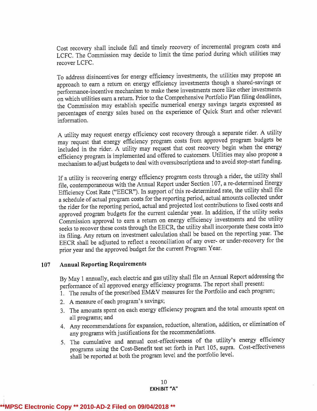Cost recovery shall include full and timely recovery of incremental program costs and LCFC. The Commission may decide to limit the time period during which utilities may recover LCFC.

To address disincentives for energy efficiency investments, the utilities may propose an approach to earn <sup>a</sup> return on energy efficiency investments though <sup>a</sup> shared-savings or performance-incentive mechanism to make these investments more like other investments on which utilities earn <sup>a</sup> return. Prior to the Comprehensive Portfolio Plan filing deadlines, the Commission may establish specific numerical energy savings targets expressed as percentages of energy sales based on the experience of Quick Start and other relevant information.

<sup>A</sup> utility may request energy efficiency cost recovery through<sup>a</sup> separate rider. <sup>A</sup> utility may request that energy efficiency program costs from approved program budgets be included in the rider. A utility may request that cost recovery begin when the energy efficiency program is implemented and offered to customers. Utilities may also propose <sup>a</sup> mechanism to adjust budgets to deal with oversubscriptionsand to avoid stop-start funding.

If a utility is recovering energy efficiency program costs through a rider, the utility shall file, contemporaneous with the Annual Report under Section 107, a re-determined Energy Efficiency Cost Rate ("EECR"). In support of this re-determined rate, the utility shall file <sup>a</sup> schedule of actual program costs for the reporting period, actual amounts collected under the rider for the reporting period, actual and projected lost contributions to fixed costs and approved program budgets for the current calendar year. In addition, if the utility seeks Commission approval to earn <sup>a</sup> return on energy efficiency investments and the utility seeks to recover these costs through the EECR, the utility shall incorporate these costs into its filing. Any return on investment calculation shall be based on the reporting year. The EECR shall be adjusted to reflect <sup>a</sup> reconciliation of any over- or under-recovery for the prior year and the approved budget for the current Program Year.

# 107 Annual Reporting Requirements

By May 1 annually, each electric and gas utility shall file an Annual Report addressing the performance of all approved energy efficiency programs. The report shall present:

- 1. The results of the prescribed EM&V measures for the Portfolio and each program;
- 2. A measure of each program's savings;
- 3. The amounts spent on each energy efficiency program and the total amounts spent on all programs; and
- 4. Any recommendations for expansion, reduction, alteration, addition, or elimination of any programs with justifications for the recommendations.
- 5. The cumulative and annual cost-effectiveness of the utility's energy efficiency programs using the Cost-Benefit test set forth in Part 105, supra. Cost-effectiveness shall be reported at both the program level and the portfolio level.